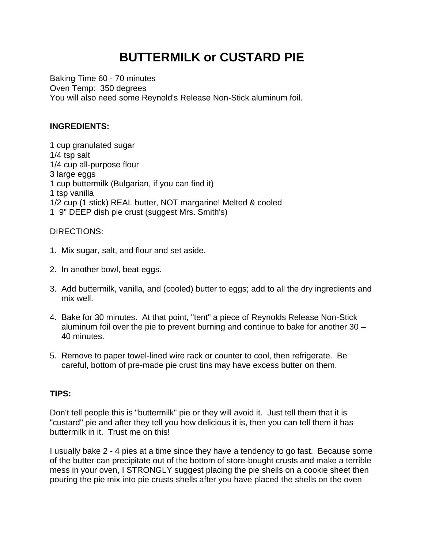## **BUTTERMILK or CUSTARD PIE**

Baking Time 60 - 70 minutes Oven Temp: 350 degrees You will also need some Reynold's Release Non-Stick aluminum foil.

## **INGREDIENTS:**

1 cup granulated sugar 1/4 tsp salt 1/4 cup all-purpose flour 3 large eggs 1 cup buttermilk (Bulgarian, if you can find it) 1 tsp vanilla 1/2 cup (1 stick) REAL butter, NOT margarine! Melted & cooled 1 9" DEEP dish pie crust (suggest Mrs. Smith's)

DIRECTIONS:

- 1. Mix sugar, salt, and flour and set aside.
- 2. In another bowl, beat eggs.
- 3. Add buttermilk, vanilla, and (cooled) butter to eggs; add to all the dry ingredients and mix well.
- 4. Bake for 30 minutes. At that point, "tent" a piece of Reynolds Release Non-Stick aluminum foil over the pie to prevent burning and continue to bake for another 30 – 40 minutes.
- 5. Remove to paper towel-lined wire rack or counter to cool, then refrigerate. Be careful, bottom of pre-made pie crust tins may have excess butter on them.

## **TIPS:**

Don't tell people this is "buttermilk" pie or they will avoid it. Just tell them that it is "custard" pie and after they tell you how delicious it is, then you can tell them it has buttermilk in it. Trust me on this!

I usually bake 2 - 4 pies at a time since they have a tendency to go fast. Because some of the butter can precipitate out of the bottom of store-bought crusts and make a terrible mess in your oven, I STRONGLY suggest placing the pie shells on a cookie sheet then pouring the pie mix into pie crusts shells after you have placed the shells on the oven